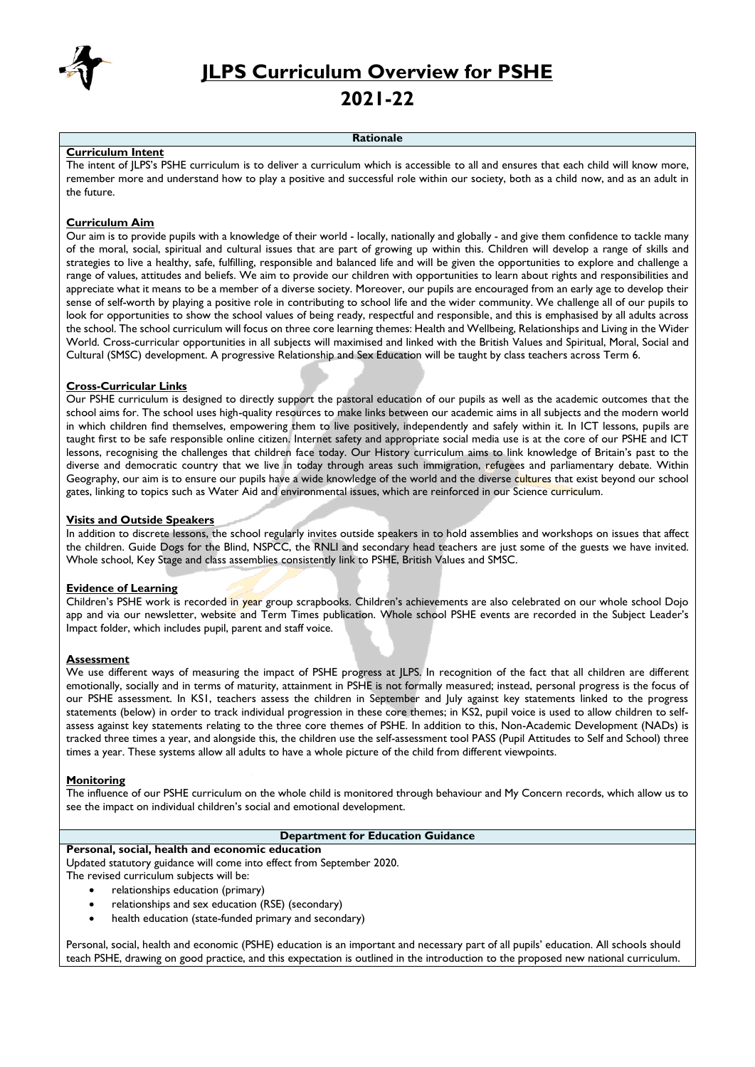

**JLPS Curriculum Overview for PSHE**

# **2021-22**

#### **Rationale**

#### **Curriculum Intent**

The intent of JLPS's PSHE curriculum is to deliver a curriculum which is accessible to all and ensures that each child will know more, remember more and understand how to play a positive and successful role within our society, both as a child now, and as an adult in the future.

#### **Curriculum Aim**

Our aim is to provide pupils with a knowledge of their world - locally, nationally and globally - and give them confidence to tackle many of the moral, social, spiritual and cultural issues that are part of growing up within this. Children will develop a range of skills and strategies to live a healthy, safe, fulfilling, responsible and balanced life and will be given the opportunities to explore and challenge a range of values, attitudes and beliefs. We aim to provide our children with opportunities to learn about rights and responsibilities and appreciate what it means to be a member of a diverse society. Moreover, our pupils are encouraged from an early age to develop their sense of self-worth by playing a positive role in contributing to school life and the wider community. We challenge all of our pupils to look for opportunities to show the school values of being ready, respectful and responsible, and this is emphasised by all adults across the school. The school curriculum will focus on three core learning themes: Health and Wellbeing, Relationships and Living in the Wider World. Cross-curricular opportunities in all subjects will maximised and linked with the British Values and Spiritual, Moral, Social and Cultural (SMSC) development. A progressive Relationship and Sex Education will be taught by class teachers across Term 6.

#### **Cross-Curricular Links**

Our PSHE curriculum is designed to directly support the pastoral education of our pupils as well as the academic outcomes that the school aims for. The school uses high-quality resources to make links between our academic aims in all subjects and the modern world in which children find themselves, empowering them to live positively, independently and safely within it. In ICT lessons, pupils are taught first to be safe responsible online citizen. Internet safety and appropriate social media use is at the core of our PSHE and ICT lessons, recognising the challenges that children face today. Our History curriculum aims to link knowledge of Britain's past to the diverse and democratic country that we live in today through areas such immigration, refugees and parliamentary debate. Within Geography, our aim is to ensure our pupils have a wide knowledge of the world and the diverse cultures that exist beyond our school gates, linking to topics such as Water Aid and environmental issues, which are reinforced in our Science curriculum.

#### **Visits and Outside Speakers**

In addition to discrete lessons, the school regularly invites outside speakers in to hold assemblies and workshops on issues that affect the children. Guide Dogs for the Blind, NSPCC, the RNLI and secondary head teachers are just some of the guests we have invited. Whole school, Key Stage and class assemblies consistently link to PSHE, British Values and SMSC.

#### **Evidence of Learning**

Children's PSHE work is recorded in year group scrapbooks. Children's achievements are also celebrated on our whole school Dojo app and via our newsletter, website and Term Times publication. Whole school PSHE events are recorded in the Subject Leader's Impact folder, which includes pupil, parent and staff voice.

# **Assessment**

We use different ways of measuring the impact of PSHE progress at JLPS. In recognition of the fact that all children are different emotionally, socially and in terms of maturity, attainment in PSHE is not formally measured; instead, personal progress is the focus of our PSHE assessment. In KS1, teachers assess the children in September and July against key statements linked to the progress statements (below) in order to track individual progression in these core themes; in KS2, pupil voice is used to allow children to selfassess against key statements relating to the three core themes of PSHE. In addition to this, Non-Academic Development (NADs) is tracked three times a year, and alongside this, the children use the self-assessment tool PASS (Pupil Attitudes to Self and School) three times a year. These systems allow all adults to have a whole picture of the child from different viewpoints.

#### **Monitoring**

The influence of our PSHE curriculum on the whole child is monitored through behaviour and My Concern records, which allow us to see the impact on individual children's social and emotional development.

# **Department for Education Guidance**

#### **Personal, social, health and economic education**

Updated statutory guidance will come into effect from September 2020.

The revised curriculum subjects will be:

- relationships education (primary)
- relationships and sex education (RSE) (secondary)
- health education (state-funded primary and secondary)

Personal, social, health and economic (PSHE) education is an important and necessary part of all pupils' education. All schools should teach PSHE, drawing on good practice, and this expectation is outlined in the introduction to the proposed new national curriculum.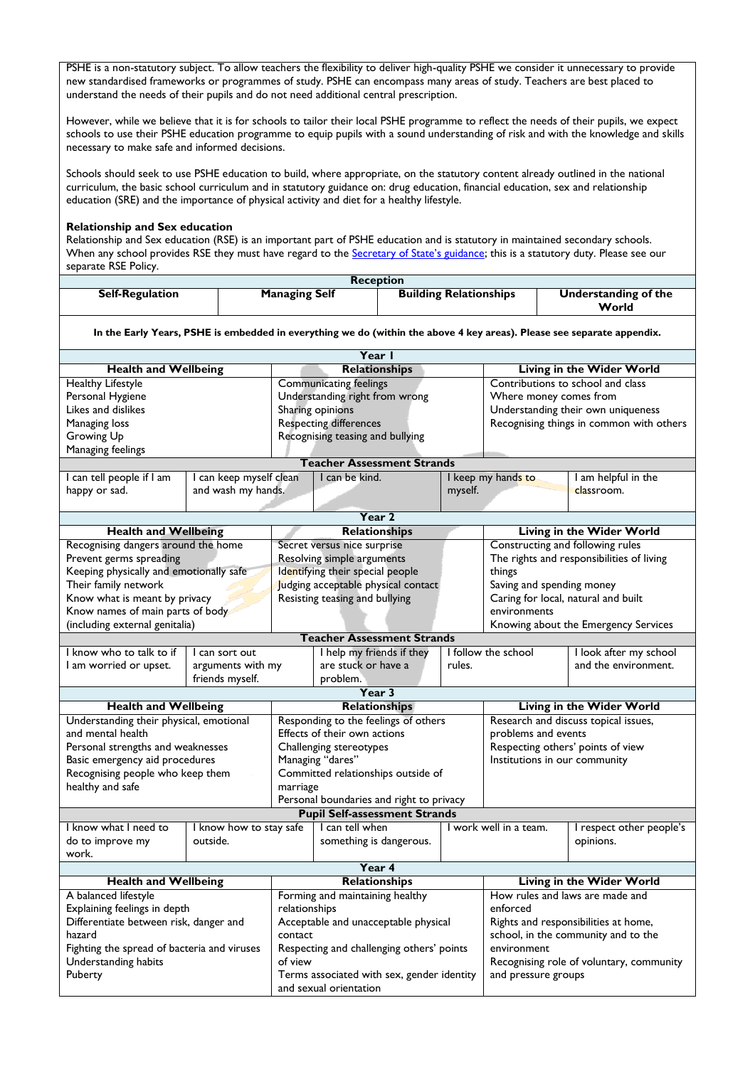PSHE is a non-statutory subject. To allow teachers the flexibility to deliver high-quality PSHE we consider it unnecessary to provide new standardised frameworks or programmes of study. PSHE can encompass many areas of study. Teachers are best placed to understand the needs of their pupils and do not need additional central prescription.

However, while we believe that it is for schools to tailor their local PSHE programme to reflect the needs of their pupils, we expect schools to use their PSHE education programme to equip pupils with a sound understanding of risk and with the knowledge and skills necessary to make safe and informed decisions.

Schools should seek to use PSHE education to build, where appropriate, on the statutory content already outlined in the national curriculum, the basic school curriculum and in statutory guidance on: drug education, financial education, sex and relationship education (SRE) and the importance of physical activity and diet for a healthy lifestyle.

#### **Relationship and Sex education**

Relationship and Sex education (RSE) is an important part of PSHE education and is statutory in maintained secondary schools. When any school provides RSE they must have regard to the [Secretary of State's guidance](http://www.education.gov.uk/aboutdfe/statutory/g00214676/sex-and-relationships-education-guidance); this is a statutory duty. Please see our separate RSE Policy.

|                        |                      | <b>Reception</b>              |                      |
|------------------------|----------------------|-------------------------------|----------------------|
| <b>Self-Regulation</b> | <b>Managing Self</b> | <b>Building Relationships</b> | Understanding of the |
|                        |                      |                               | World                |

**In the Early Years, PSHE is embedded in everything we do (within the above 4 key areas). Please see separate appendix.**

| Year I                                      |                         |                                                                                             |                                          |                                          |                                                                               |                                          |
|---------------------------------------------|-------------------------|---------------------------------------------------------------------------------------------|------------------------------------------|------------------------------------------|-------------------------------------------------------------------------------|------------------------------------------|
| <b>Health and Wellbeing</b>                 |                         | <b>Relationships</b>                                                                        |                                          | Living in the Wider World                |                                                                               |                                          |
| <b>Healthy Lifestyle</b>                    |                         |                                                                                             | <b>Communicating feelings</b>            |                                          |                                                                               | Contributions to school and class        |
| Personal Hygiene                            |                         | Understanding right from wrong                                                              |                                          | Where money comes from                   |                                                                               |                                          |
| Likes and dislikes                          |                         |                                                                                             | Sharing opinions                         |                                          |                                                                               | Understanding their own uniqueness       |
| Managing loss                               |                         |                                                                                             | <b>Respecting differences</b>            |                                          |                                                                               | Recognising things in common with others |
| Growing Up                                  |                         |                                                                                             | Recognising teasing and bullying         |                                          |                                                                               |                                          |
| Managing feelings                           |                         |                                                                                             |                                          |                                          |                                                                               |                                          |
|                                             |                         |                                                                                             | <b>Teacher Assessment Strands</b>        |                                          |                                                                               |                                          |
| I can tell people if I am                   | I can keep myself clean |                                                                                             | I can be kind.                           |                                          | I keep my hands to                                                            | I am helpful in the                      |
| happy or sad.                               | and wash my hands.      |                                                                                             |                                          | myself.                                  |                                                                               | classroom.                               |
|                                             |                         |                                                                                             |                                          |                                          |                                                                               |                                          |
|                                             |                         |                                                                                             | Year <sub>2</sub>                        |                                          |                                                                               |                                          |
| <b>Health and Wellbeing</b>                 |                         |                                                                                             | <b>Relationships</b>                     |                                          |                                                                               | Living in the Wider World                |
| Recognising dangers around the home         |                         |                                                                                             | Secret versus nice surprise              |                                          |                                                                               |                                          |
| Prevent germs spreading                     |                         |                                                                                             | Resolving simple arguments               |                                          | Constructing and following rules<br>The rights and responsibilities of living |                                          |
| Keeping physically and emotionally safe     |                         |                                                                                             | Identifying their special people         |                                          | things                                                                        |                                          |
| Their family network                        |                         |                                                                                             | Judging acceptable physical contact      |                                          | Saving and spending money                                                     |                                          |
|                                             |                         |                                                                                             |                                          |                                          |                                                                               | Caring for local, natural and built      |
| Know what is meant by privacy               |                         |                                                                                             | Resisting teasing and bullying           |                                          |                                                                               |                                          |
| Know names of main parts of body            |                         |                                                                                             |                                          |                                          | environments                                                                  |                                          |
| (including external genitalia)              |                         |                                                                                             |                                          |                                          |                                                                               | Knowing about the Emergency Services     |
|                                             |                         |                                                                                             | <b>Teacher Assessment Strands</b>        |                                          |                                                                               |                                          |
| I know who to talk to if                    | I can sort out          |                                                                                             | I help my friends if they                |                                          | I follow the school                                                           | I look after my school                   |
| I am worried or upset.                      | arguments with my       |                                                                                             | are stuck or have a                      | rules.                                   |                                                                               | and the environment.                     |
| friends myself.                             |                         |                                                                                             | problem.                                 |                                          |                                                                               |                                          |
|                                             |                         |                                                                                             | Year 3                                   |                                          |                                                                               |                                          |
| <b>Health and Wellbeing</b>                 |                         |                                                                                             | <b>Relationships</b>                     |                                          | Living in the Wider World                                                     |                                          |
| Understanding their physical, emotional     |                         |                                                                                             | Responding to the feelings of others     |                                          |                                                                               | Research and discuss topical issues,     |
| and mental health                           |                         |                                                                                             | Effects of their own actions             | problems and events                      |                                                                               |                                          |
| Personal strengths and weaknesses           |                         |                                                                                             | Challenging stereotypes                  |                                          | Respecting others' points of view                                             |                                          |
| Basic emergency aid procedures              |                         | Managing "dares"<br>Institutions in our community                                           |                                          |                                          |                                                                               |                                          |
| Recognising people who keep them            |                         |                                                                                             | Committed relationships outside of       |                                          |                                                                               |                                          |
| healthy and safe                            |                         | marriage                                                                                    |                                          |                                          |                                                                               |                                          |
|                                             |                         |                                                                                             | Personal boundaries and right to privacy |                                          |                                                                               |                                          |
|                                             |                         |                                                                                             | <b>Pupil Self-assessment Strands</b>     |                                          |                                                                               |                                          |
| I know what I need to                       | I know how to stay safe |                                                                                             | I can tell when                          |                                          | I work well in a team.                                                        | I respect other people's                 |
| do to improve my                            | outside.                |                                                                                             | something is dangerous.                  |                                          |                                                                               | opinions.                                |
| work.                                       |                         |                                                                                             |                                          |                                          |                                                                               |                                          |
|                                             |                         |                                                                                             | Year 4                                   |                                          |                                                                               |                                          |
| <b>Health and Wellbeing</b>                 |                         |                                                                                             | <b>Relationships</b>                     |                                          |                                                                               | Living in the Wider World                |
| A balanced lifestyle                        |                         | Forming and maintaining healthy                                                             |                                          | How rules and laws are made and          |                                                                               |                                          |
| Explaining feelings in depth                |                         | relationships                                                                               |                                          | enforced                                 |                                                                               |                                          |
| Differentiate between risk, danger and      |                         | Acceptable and unacceptable physical                                                        |                                          | Rights and responsibilities at home,     |                                                                               |                                          |
| hazard                                      |                         | contact                                                                                     |                                          | school, in the community and to the      |                                                                               |                                          |
| Fighting the spread of bacteria and viruses |                         | Respecting and challenging others' points                                                   |                                          | environment                              |                                                                               |                                          |
|                                             |                         | of view                                                                                     |                                          | Recognising role of voluntary, community |                                                                               |                                          |
| Understanding habits                        |                         |                                                                                             |                                          |                                          |                                                                               |                                          |
| Puberty                                     |                         | Terms associated with sex, gender identity<br>and pressure groups<br>and sexual orientation |                                          |                                          |                                                                               |                                          |
|                                             |                         |                                                                                             |                                          |                                          |                                                                               |                                          |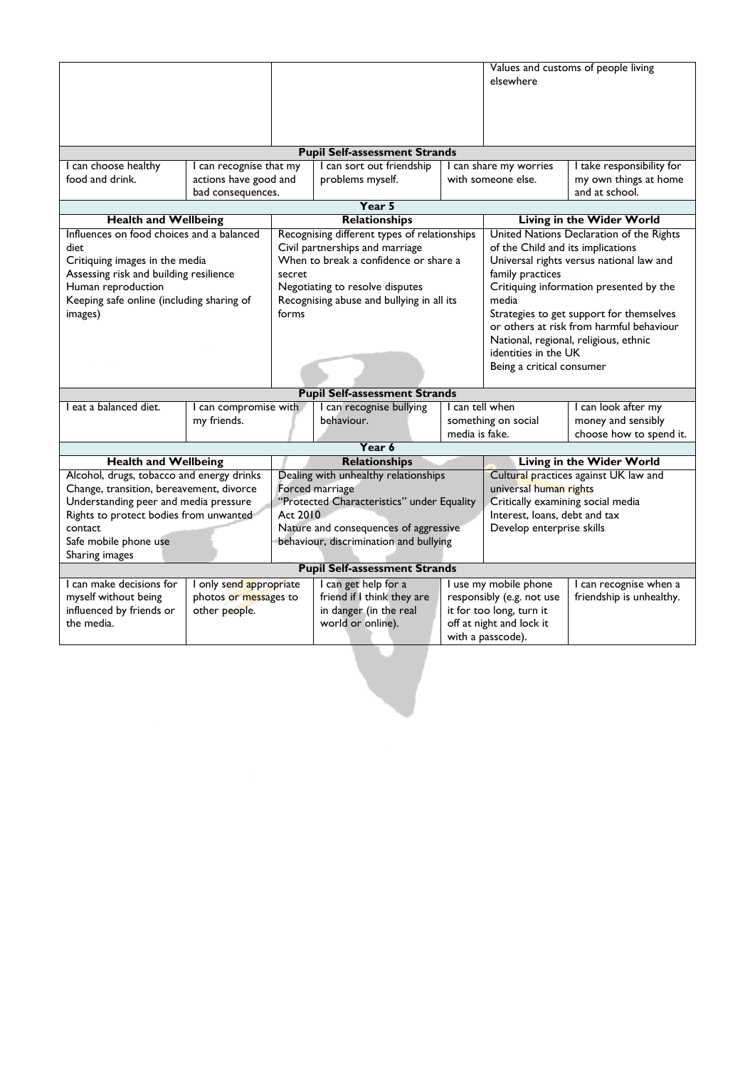|                                                     |                         |                                                                    |                                              |                                   |                                          | Values and customs of people living      |
|-----------------------------------------------------|-------------------------|--------------------------------------------------------------------|----------------------------------------------|-----------------------------------|------------------------------------------|------------------------------------------|
|                                                     |                         |                                                                    |                                              |                                   | elsewhere                                |                                          |
|                                                     |                         |                                                                    |                                              |                                   |                                          |                                          |
|                                                     |                         |                                                                    |                                              |                                   |                                          |                                          |
|                                                     |                         |                                                                    |                                              |                                   |                                          |                                          |
|                                                     |                         |                                                                    | <b>Pupil Self-assessment Strands</b>         |                                   |                                          |                                          |
| I can choose healthy                                | I can recognise that my |                                                                    | I can sort out friendship                    |                                   | I can share my worries                   | I take responsibility for                |
| food and drink.                                     | actions have good and   |                                                                    | problems myself.                             |                                   | with someone else.                       | my own things at home                    |
|                                                     | bad consequences.       |                                                                    |                                              |                                   |                                          | and at school.                           |
|                                                     |                         |                                                                    | Year 5                                       |                                   |                                          |                                          |
| <b>Health and Wellbeing</b>                         |                         |                                                                    | Relationships                                |                                   |                                          | Living in the Wider World                |
| Influences on food choices and a balanced           |                         |                                                                    | Recognising different types of relationships |                                   | United Nations Declaration of the Rights |                                          |
| diet                                                |                         |                                                                    | Civil partnerships and marriage              |                                   | of the Child and its implications        |                                          |
| Critiquing images in the media                      |                         |                                                                    | When to break a confidence or share a        |                                   | Universal rights versus national law and |                                          |
| Assessing risk and building resilience              |                         | secret                                                             |                                              |                                   | family practices                         |                                          |
| Human reproduction                                  |                         |                                                                    | Negotiating to resolve disputes              |                                   | Critiquing information presented by the  |                                          |
| Keeping safe online (including sharing of           |                         |                                                                    | Recognising abuse and bullying in all its    |                                   | media                                    |                                          |
| images)                                             |                         | forms                                                              |                                              |                                   | Strategies to get support for themselves |                                          |
|                                                     |                         |                                                                    |                                              |                                   |                                          | or others at risk from harmful behaviour |
|                                                     |                         |                                                                    |                                              |                                   |                                          | National, regional, religious, ethnic    |
|                                                     |                         |                                                                    |                                              |                                   | identities in the UK                     |                                          |
|                                                     |                         |                                                                    |                                              | Being a critical consumer         |                                          |                                          |
|                                                     |                         |                                                                    |                                              |                                   |                                          |                                          |
|                                                     |                         |                                                                    | <b>Pupil Self-assessment Strands</b>         |                                   |                                          |                                          |
| I eat a balanced diet.                              | I can compromise with   |                                                                    | I can recognise bullying                     |                                   | I can tell when                          | I can look after my                      |
|                                                     | my friends.             |                                                                    | behaviour.                                   |                                   | something on social                      | money and sensibly                       |
| media is fake.<br>choose how to spend it.<br>Year 6 |                         |                                                                    |                                              |                                   |                                          |                                          |
| <b>Health and Wellbeing</b>                         |                         |                                                                    | <b>Relationships</b>                         |                                   |                                          | <b>Living in the Wider World</b>         |
| Alcohol, drugs, tobacco and energy drinks           |                         | Dealing with unhealthy relationships                               |                                              |                                   | Cultural practices against UK law and    |                                          |
| Change, transition, bereavement, divorce            |                         | Forced marriage                                                    |                                              | universal human rights            |                                          |                                          |
| Understanding peer and media pressure               |                         | "Protected Characteristics" under Equality                         |                                              | Critically examining social media |                                          |                                          |
| Rights to protect bodies from unwanted              |                         | Act 2010                                                           |                                              |                                   | Interest, loans, debt and tax            |                                          |
| contact                                             |                         | Nature and consequences of aggressive<br>Develop enterprise skills |                                              |                                   |                                          |                                          |
| Safe mobile phone use                               |                         |                                                                    | behaviour, discrimination and bullying       |                                   |                                          |                                          |
| Sharing images                                      |                         |                                                                    |                                              |                                   |                                          |                                          |
| <b>Pupil Self-assessment Strands</b>                |                         |                                                                    |                                              |                                   |                                          |                                          |
| I can make decisions for                            | I only send appropriate |                                                                    | I can get help for a                         |                                   | I use my mobile phone                    | I can recognise when a                   |
| myself without being                                | photos or messages to   |                                                                    | friend if I think they are                   |                                   | responsibly (e.g. not use                | friendship is unhealthy.                 |
| influenced by friends or                            | other people.           |                                                                    | in danger (in the real                       |                                   | it for too long, turn it                 |                                          |
| the media.                                          |                         |                                                                    | world or online).                            |                                   | off at night and lock it                 |                                          |
|                                                     |                         |                                                                    |                                              |                                   | with a passcode).                        |                                          |
|                                                     |                         |                                                                    |                                              |                                   |                                          |                                          |
|                                                     |                         |                                                                    |                                              |                                   |                                          |                                          |
|                                                     |                         |                                                                    |                                              |                                   |                                          |                                          |
|                                                     |                         |                                                                    |                                              |                                   |                                          |                                          |
|                                                     |                         |                                                                    |                                              |                                   |                                          |                                          |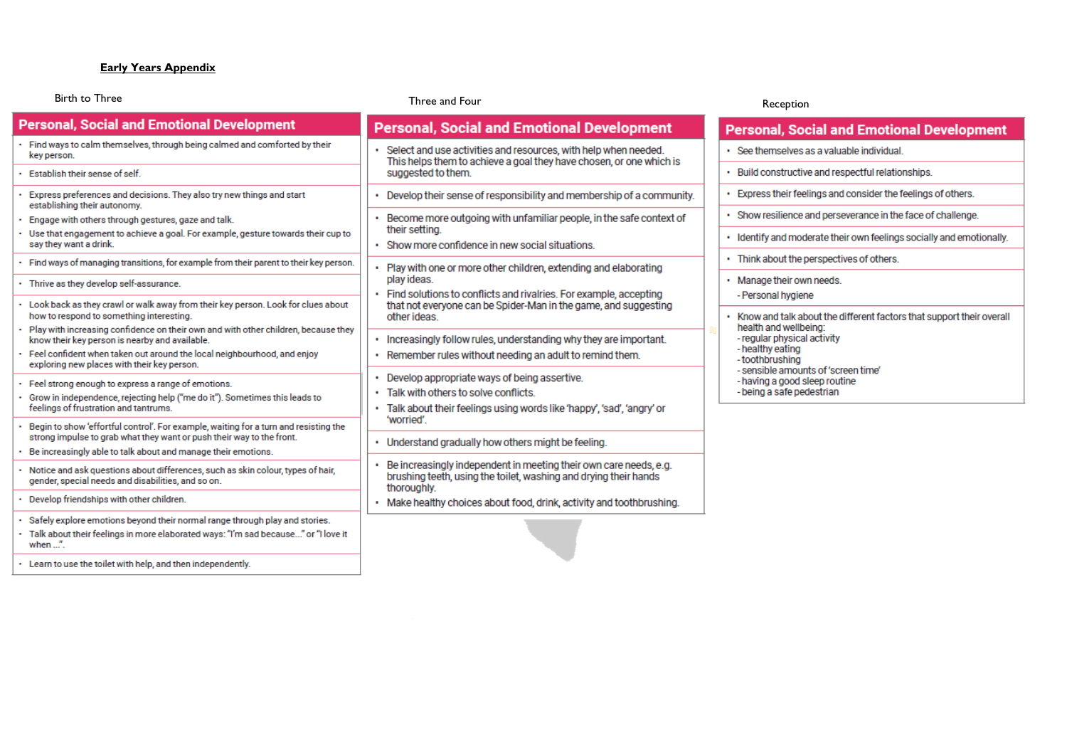# **Early Years Appendix**

| <b>Birth to Three</b>                                                                                                                                                                        | Three and Four                                                                                                                                                                | Receptio                                              |
|----------------------------------------------------------------------------------------------------------------------------------------------------------------------------------------------|-------------------------------------------------------------------------------------------------------------------------------------------------------------------------------|-------------------------------------------------------|
| <b>Personal, Social and Emotional Development</b>                                                                                                                                            | <b>Personal, Social and Emotional Development</b>                                                                                                                             | <b>Personal, So</b>                                   |
| · Find ways to calm themselves, through being calmed and comforted by their<br>key person.                                                                                                   | Select and use activities and resources, with help when needed.<br>This helps them to achieve a goal they have chosen, or one which is                                        | · See themselves                                      |
| Establish their sense of self.                                                                                                                                                               | suggested to them.                                                                                                                                                            | • Build constructi                                    |
| Express preferences and decisions. They also try new things and start<br>establishing their autonomy.                                                                                        | Develop their sense of responsibility and membership of a community.                                                                                                          | • Express their fe                                    |
| Engage with others through gestures, gaze and talk.                                                                                                                                          | · Become more outgoing with unfamiliar people, in the safe context of                                                                                                         | · Show resilience                                     |
| Use that engagement to achieve a goal. For example, gesture towards their cup to<br>say they want a drink.                                                                                   | their setting.<br>· Show more confidence in new social situations.                                                                                                            | • Identify and mo                                     |
| · Find ways of managing transitions, for example from their parent to their key person.                                                                                                      | • Play with one or more other children, extending and elaborating                                                                                                             | • Think about the                                     |
| · Thrive as they develop self-assurance.                                                                                                                                                     | play ideas.<br>• Find solutions to conflicts and rivalries. For example, accepting                                                                                            | • Manage their ov<br>- Personal hygie                 |
| - Look back as they crawl or walk away from their key person. Look for clues about<br>how to respond to something interesting.                                                               | that not everyone can be Spider-Man in the game, and suggesting<br>other ideas                                                                                                | $\cdot$ Know and talk a                               |
| Play with increasing confidence on their own and with other children, because they<br>know their key person is nearby and available.                                                         | . Increasingly follow rules, understanding why they are important.                                                                                                            | health and wellt<br>- regular physica                 |
| · Feel confident when taken out around the local neighbourhood, and enjoy<br>exploring new places with their key person.                                                                     | . Remember rules without needing an adult to remind them.                                                                                                                     | - healthy eating<br>-toothbrushing<br>- sensible amou |
| Feel strong enough to express a range of emotions.<br>Grow in independence, rejecting help ("me do it"). Sometimes this leads to<br>feelings of frustration and tantrums.                    | • Develop appropriate ways of being assertive.<br>Talk with others to solve conflicts.<br>Talk about their feelings using words like 'happy', 'sad', 'angry' or<br>'worried'. | - having a good<br>- being a safe pe                  |
| Begin to show 'effortful control'. For example, waiting for a turn and resisting the<br>strong impulse to grab what they want or push their way to the front.                                | . Understand gradually how others might be feeling.                                                                                                                           |                                                       |
| Be increasingly able to talk about and manage their emotions.                                                                                                                                |                                                                                                                                                                               |                                                       |
| Notice and ask questions about differences, such as skin colour, types of hair,<br>gender, special needs and disabilities, and so on.                                                        | Be increasingly independent in meeting their own care needs, e.g.<br>brushing teeth, using the toilet, washing and drying their hands<br>thoroughly.                          |                                                       |
| Develop friendships with other children.                                                                                                                                                     | Make healthy choices about food, drink, activity and toothbrushing.                                                                                                           |                                                       |
| . Safely explore emotions beyond their normal range through play and stories.<br>- Talk about their feelings in more elaborated ways: "I'm sad because" or "I love it<br>when $\mathbf{r}$ . |                                                                                                                                                                               |                                                       |
| . Learn to use the toilet with help, and then independently.                                                                                                                                 |                                                                                                                                                                               |                                                       |

#### n

# ocial and Emotional Development

- s as a valuable individual.
- ive and respectful relationships.
- elings and consider the feelings of others.
- and perseverance in the face of challenge.
- derate their own feelings socially and emotionally.
- perspectives of others.
- wn needs.
- ene
- about the different factors that support their overall being: al activity
- ints of 'screen time'
- sleep routine
- edestrian